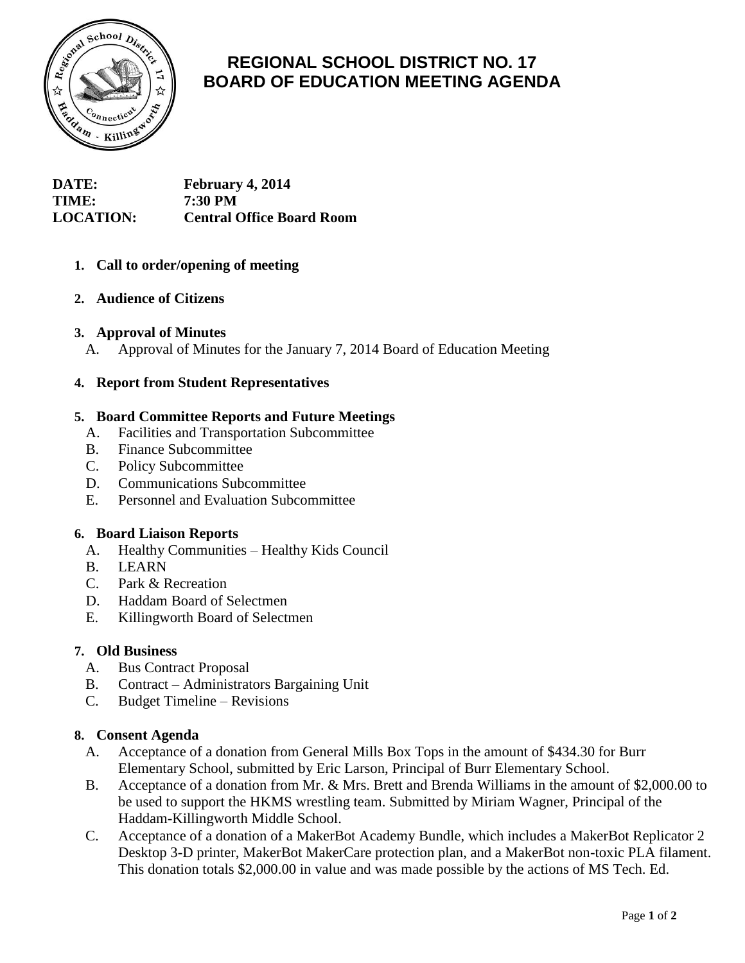

# **REGIONAL SCHOOL DISTRICT NO. 17 BOARD OF EDUCATION MEETING AGENDA**

**DATE: February 4, 2014 TIME: 7:30 PM LOCATION: Central Office Board Room**

# **1. Call to order/opening of meeting**

# **2. Audience of Citizens**

#### **3. Approval of Minutes**

A. Approval of Minutes for the January 7, 2014 Board of Education Meeting

#### **4. Report from Student Representatives**

## **5. Board Committee Reports and Future Meetings**

- A. Facilities and Transportation Subcommittee
- B. Finance Subcommittee
- C. Policy Subcommittee
- D. Communications Subcommittee
- E. Personnel and Evaluation Subcommittee

#### **6. Board Liaison Reports**

- A. Healthy Communities Healthy Kids Council
- B. LEARN
- C. Park & Recreation
- D. Haddam Board of Selectmen
- E. Killingworth Board of Selectmen

#### **7. Old Business**

- A. Bus Contract Proposal
- B. Contract Administrators Bargaining Unit
- C. Budget Timeline Revisions

#### **8. Consent Agenda**

- A. Acceptance of a donation from General Mills Box Tops in the amount of \$434.30 for Burr Elementary School, submitted by Eric Larson, Principal of Burr Elementary School.
- B. Acceptance of a donation from Mr. & Mrs. Brett and Brenda Williams in the amount of \$2,000.00 to be used to support the HKMS wrestling team. Submitted by Miriam Wagner, Principal of the Haddam-Killingworth Middle School.
- C. Acceptance of a donation of a MakerBot Academy Bundle, which includes a MakerBot Replicator 2 Desktop 3-D printer, MakerBot MakerCare protection plan, and a MakerBot non-toxic PLA filament. This donation totals \$2,000.00 in value and was made possible by the actions of MS Tech. Ed.